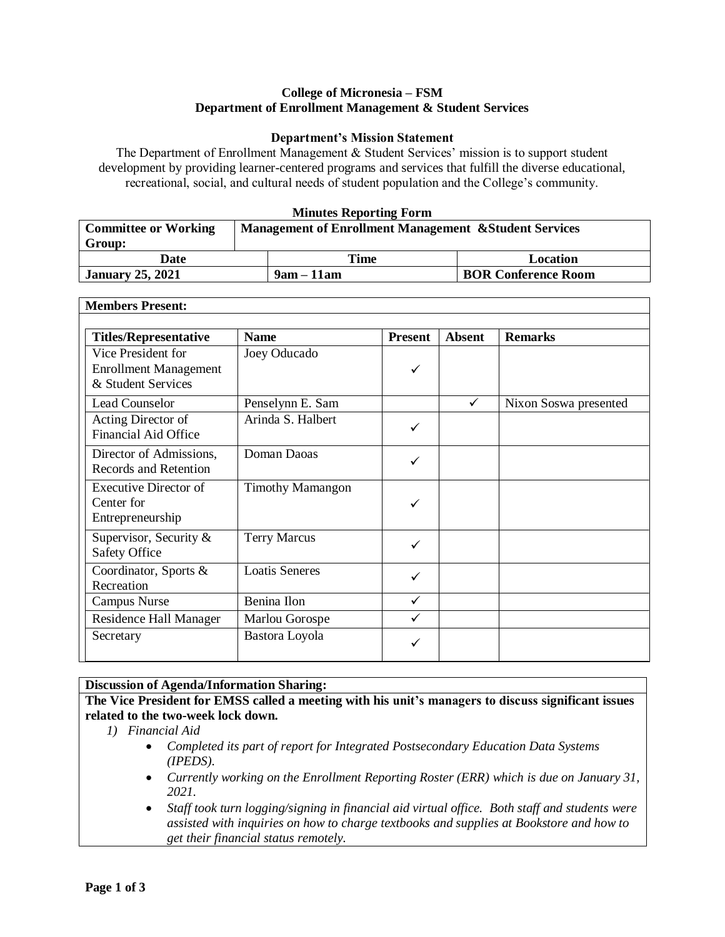## **College of Micronesia – FSM Department of Enrollment Management & Student Services**

## **Department's Mission Statement**

The Department of Enrollment Management & Student Services' mission is to support student development by providing learner-centered programs and services that fulfill the diverse educational, recreational, social, and cultural needs of student population and the College's community.

## **Minutes Reporting Form**

| <b>Committee or Working</b> | <b>Management of Enrollment Management &amp; Student Services</b> |                            |  |
|-----------------------------|-------------------------------------------------------------------|----------------------------|--|
| Group:                      |                                                                   |                            |  |
| Date                        | Time                                                              | Location                   |  |
| <b>January 25, 2021</b>     | $9am - 11am$                                                      | <b>BOR Conference Room</b> |  |

| <b>Members Present:</b>                                                  |                         |                |               |                       |  |
|--------------------------------------------------------------------------|-------------------------|----------------|---------------|-----------------------|--|
| <b>Titles/Representative</b>                                             | <b>Name</b>             | <b>Present</b> | <b>Absent</b> | <b>Remarks</b>        |  |
| Vice President for<br><b>Enrollment Management</b><br>& Student Services | Joey Oducado            | ✓              |               |                       |  |
| <b>Lead Counselor</b>                                                    | Penselynn E. Sam        |                | ✓             | Nixon Soswa presented |  |
| Acting Director of<br><b>Financial Aid Office</b>                        | Arinda S. Halbert       | ✓              |               |                       |  |
| Director of Admissions,<br><b>Records and Retention</b>                  | Doman Daoas             | ✓              |               |                       |  |
| <b>Executive Director of</b><br>Center for<br>Entrepreneurship           | <b>Timothy Mamangon</b> | ✓              |               |                       |  |
| Supervisor, Security &<br><b>Safety Office</b>                           | <b>Terry Marcus</b>     | ✓              |               |                       |  |
| Coordinator, Sports &<br>Recreation                                      | <b>Loatis Seneres</b>   | ✓              |               |                       |  |
| <b>Campus Nurse</b>                                                      | Benina Ilon             | $\checkmark$   |               |                       |  |
| <b>Residence Hall Manager</b>                                            | Marlou Gorospe          | $\checkmark$   |               |                       |  |
| Secretary                                                                | Bastora Loyola          |                |               |                       |  |

## **Discussion of Agenda/Information Sharing:**

**The Vice President for EMSS called a meeting with his unit's managers to discuss significant issues related to the two-week lock down.**

- *1) Financial Aid* 
	- *Completed its part of report for Integrated Postsecondary Education Data Systems (IPEDS).*
	- *Currently working on the Enrollment Reporting Roster (ERR) which is due on January 31, 2021.*
	- *Staff took turn logging/signing in financial aid virtual office. Both staff and students were assisted with inquiries on how to charge textbooks and supplies at Bookstore and how to get their financial status remotely.*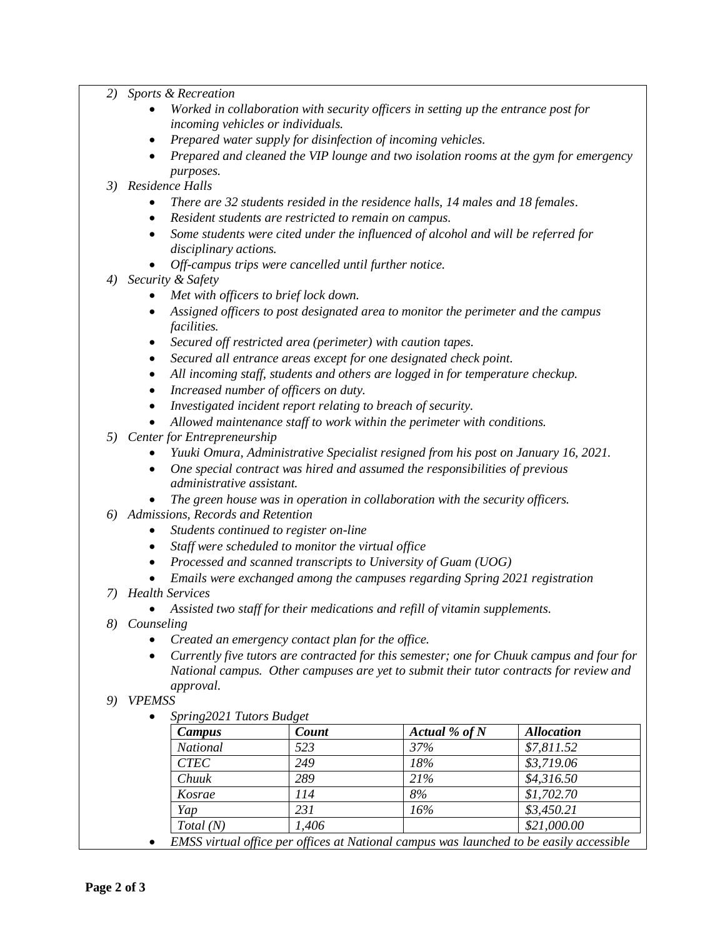- *2) Sports & Recreation*
	- *Worked in collaboration with security officers in setting up the entrance post for incoming vehicles or individuals.*
	- *Prepared water supply for disinfection of incoming vehicles.*
	- *Prepared and cleaned the VIP lounge and two isolation rooms at the gym for emergency purposes.*
- *3) Residence Halls*
	- *There are 32 students resided in the residence halls, 14 males and 18 females.*
	- *Resident students are restricted to remain on campus.*
	- *Some students were cited under the influenced of alcohol and will be referred for disciplinary actions.*
	- *Off-campus trips were cancelled until further notice.*
- *4) Security & Safety*
	- *Met with officers to brief lock down.*
	- *Assigned officers to post designated area to monitor the perimeter and the campus facilities.*
	- *Secured off restricted area (perimeter) with caution tapes.*
	- *Secured all entrance areas except for one designated check point.*
	- *All incoming staff, students and others are logged in for temperature checkup.*
	- *Increased number of officers on duty.*
	- *Investigated incident report relating to breach of security.*
	- *Allowed maintenance staff to work within the perimeter with conditions.*
- *5) Center for Entrepreneurship*
	- *Yuuki Omura, Administrative Specialist resigned from his post on January 16, 2021.*
	- *One special contract was hired and assumed the responsibilities of previous administrative assistant.*
	- *The green house was in operation in collaboration with the security officers.*
- *6) Admissions, Records and Retention*
	- *Students continued to register on-line*
	- *Staff were scheduled to monitor the virtual office*
	- *Processed and scanned transcripts to University of Guam (UOG)*
	- *Emails were exchanged among the campuses regarding Spring 2021 registration*
- *7) Health Services*
	- *Assisted two staff for their medications and refill of vitamin supplements.*
- *8) Counseling*
	- *Created an emergency contact plan for the office.*
	- *Currently five tutors are contracted for this semester; one for Chuuk campus and four for National campus. Other campuses are yet to submit their tutor contracts for review and approval.*
- *9) VPEMSS*
	- *Spring2021 Tutors Budget*

| Campus          | Count | Actual % of $N$ | <b>Allocation</b> |
|-----------------|-------|-----------------|-------------------|
| <b>National</b> | 523   | 37%             | \$7,811.52        |
| <b>CTEC</b>     | 249   | 18%             | \$3,719.06        |
| Chuuk           | 289   | 21%             | \$4,316.50        |
| Kosrae          | 114   | 8%              | \$1,702.70        |
| Yap             | 231   | 16%             | \$3,450.21        |
| Total(N)        | 1,406 |                 | \$21,000.00       |